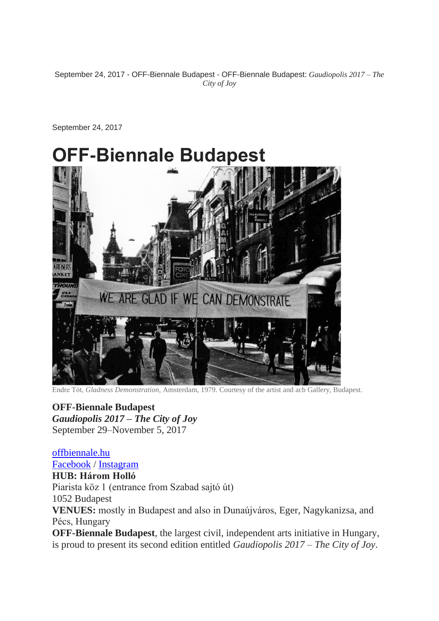September 24, 2017 - OFF-Biennale Budapest - OFF-Biennale Budapest: *Gaudiopolis 2017 – The City of Joy*

September 24, 2017

# **OFF-Biennale Budapest**



Endre Tót, *Gladness Demonstration*, Amsterdam, 1979. Courtesy of the artist and acb Gallery, Budapest.

**OFF-Biennale Budapest** *Gaudiopolis 2017 – The City of Joy* September 29–November 5, 2017

[offbiennale.hu](http://offbiennale.hu/) [Facebook](https://www.facebook.com/OFF-Bienn%C3%A1le-Budapest-1589298637955941/) / [Instagram](http://www.instagram.com/offbiennalebudapest/) **HUB: Három Holló** Piarista köz 1 (entrance from Szabad sajtó út) 1052 Budapest **VENUES:** mostly in Budapest and also in Dunaújváros, Eger, Nagykanizsa, and Pécs, Hungary **OFF-Biennale Budapest**, the largest civil, independent arts initiative in Hungary,

is proud to present its second edition entitled *Gaudiopolis 2017 – The City of Joy*.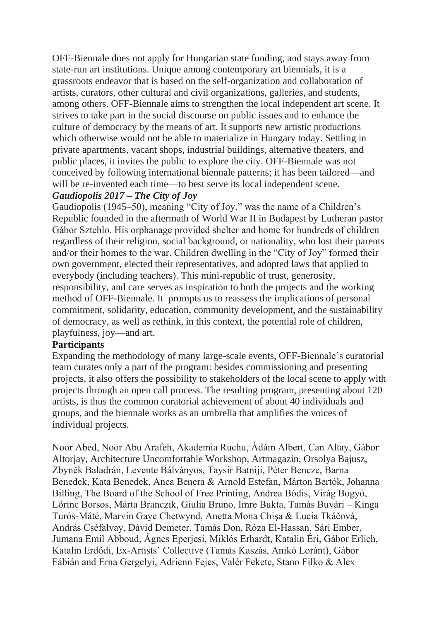OFF-Biennale does not apply for Hungarian state funding, and stays away from state-run art institutions. Unique among contemporary art biennials, it is a grassroots endeavor that is based on the self-organization and collaboration of artists, curators, other cultural and civil organizations, galleries, and students, among others. OFF-Biennale aims to strengthen the local independent art scene. It strives to take part in the social discourse on public issues and to enhance the culture of democracy by the means of art. It supports new artistic productions which otherwise would not be able to materialize in Hungary today. Settling in private apartments, vacant shops, industrial buildings, alternative theaters, and public places, it invites the public to explore the city. OFF-Biennale was not conceived by following international biennale patterns; it has been tailored—and will be re-invented each time—to best serve its local independent scene.

## *Gaudiopolis 2017 – The City of Joy*

Gaudiopolis (1945–50), meaning "City of Joy," was the name of a Children's Republic founded in the aftermath of World War II in Budapest by Lutheran pastor Gábor Sztehlo. His orphanage provided shelter and home for hundreds of children regardless of their religion, social background, or nationality, who lost their parents and/or their homes to the war. Children dwelling in the "City of Joy" formed their own government, elected their representatives, and adopted laws that applied to everybody (including teachers). This mini-republic of trust, generosity, responsibility, and care serves as inspiration to both the projects and the working method of OFF-Biennale. It prompts us to reassess the implications of personal commitment, solidarity, education, community development, and the sustainability of democracy, as well as rethink, in this context, the potential role of children, playfulness, joy—and art.

# **Participants**

Expanding the methodology of many large-scale events, OFF-Biennale's curatorial team curates only a part of the program: besides commissioning and presenting projects, it also offers the possibility to stakeholders of the local scene to apply with projects through an open call process. The resulting program, presenting about 120 artists, is thus the common curatorial achievement of about 40 individuals and groups, and the biennale works as an umbrella that amplifies the voices of individual projects.

Noor Abed, Noor Abu Arafeh, Akademia Ruchu, Ádám Albert, Can Altay, Gábor Altorjay, Architecture Uncomfortable Workshop, Artmagazin, Orsolya Bajusz, Zbyněk Baladrán, Levente Bálványos, Taysir Batniji, Péter Bencze, Barna Benedek, Kata Benedek, Anca Benera & Arnold Estefan, Márton Bertók, Johanna Billing, The Board of the School of Free Printing, Andrea Bódis, Virág Bogyó, Lőrinc Borsos, Márta Branczik, Giulia Bruno, Imre Bukta, Tamás Buvári – Kinga Turós-Máté, Marvin Gaye Chetwynd, Anetta Mona Chişa & Lucia Tkáčová, András Cséfalvay, Dávid Demeter, Tamás Don, Róza El-Hassan, Sári Ember, Jumana Emil Abboud, Ágnes Eperjesi, Miklós Erhardt, Katalin Éri, Gábor Erlich, Katalin Erdődi, Ex-Artists' Collective (Tamás Kaszás, Anikó Loránt), Gábor Fábián and Erna Gergelyi, Adrienn Fejes, Valér Fekete, Stano Filko & Alex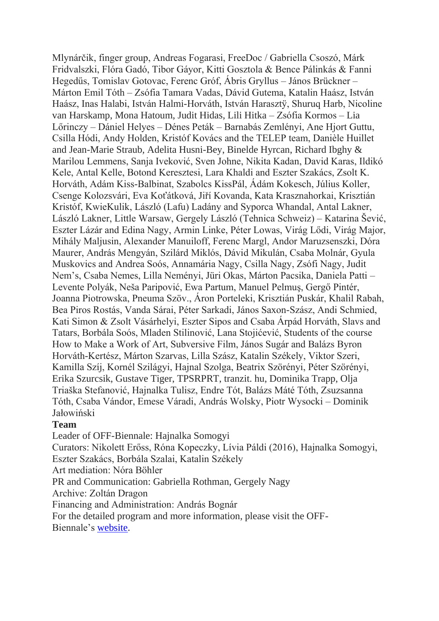Mlynárčik, finger group, Andreas Fogarasi, FreeDoc / Gabriella Csoszó, Márk Fridvalszki, Flóra Gadó, Tibor Gáyor, Kitti Gosztola & Bence Pálinkás & Fanni Hegedűs, Tomislav Gotovac, Ferenc Gróf, Ábris Gryllus – János Brückner – Márton Emil Tóth – Zsófia Tamara Vadas, Dávid Gutema, Katalin Haász, István Haász, Inas Halabi, István Halmi-Horváth, István Harasztÿ, Shuruq Harb, Nicoline van Harskamp, Mona Hatoum, Judit Hidas, Lili Hitka – Zsófia Kormos – Lia Lőrinczy – Dániel Helyes – Dénes Peták – Barnabás Zemlényi, Ane Hjort Guttu, Csilla Hódi, Andy Holden, Kristóf Kovács and the TELEP team, Danièle Huillet and Jean-Marie Straub*,* Adelita Husni-Bey, Binelde Hyrcan, Richard Ibghy & Marilou Lemmens, Sanja Iveković, Sven Johne, Nikita Kadan, David Karas, Ildikó Kele, Antal Kelle, Botond Keresztesi, Lara Khaldi and Eszter Szakács, Zsolt K. Horváth, Adám Kiss-Balbinat, Szabolcs KissPál, Ádám Kokesch, Július Koller, Csenge Kolozsvári, Eva Koťátková, Jiří Kovanda, Kata Krasznahorkai, Krisztián Kristóf, KwieKulik, László (Lafu) Ladány and Syporca Whandal, Antal Lakner, László Lakner, Little Warsaw, Gergely László (Tehnica Schweiz) – Katarina Šević, Eszter Lázár and Edina Nagy, Armin Linke, Péter Lowas, Virág Lődi, Virág Major, Mihály Maljusin, Alexander Manuiloff, Ferenc Margl, Andor Maruzsenszki, Dóra Maurer, András Mengyán, Szilárd Miklós, Dávid Mikulán, Csaba Molnár, Gyula Muskovics and Andrea Soós, Annamária Nagy, Csilla Nagy, Zsófi Nagy, Judit Nem's, Csaba Nemes, Lilla Neményi, Jüri Okas, Márton Pacsika, Daniela Patti – Levente Polyák, Neša Paripović, Ewa Partum, Manuel Pelmuş, Gergő Pintér, Joanna Piotrowska, Pneuma Szöv., Áron Porteleki, Krisztián Puskár, Khalil Rabah, Bea Piros Rostás, Vanda Sárai, Péter Sarkadi, János Saxon-Szász, Andi Schmied, Kati Simon & Zsolt Vásárhelyi, Eszter Sipos and Csaba Árpád Horváth, Slavs and Tatars, Borbála Soós, Mladen Stilinović, Lana Stojićević, Students of the course How to Make a Work of Art, Subversive Film, János Sugár and Balázs Byron Horváth-Kertész, Márton Szarvas, Lilla Szász, Katalin Székely, Viktor Szeri, Kamilla Szíj, Kornél Szilágyi, Hajnal Szolga, Beatrix Szörényi, Péter Szörényi, Erika Szurcsik, Gustave Tiger, TPSRPRT, tranzit. hu, Dominika Trapp, Olja Triaška Stefanović, Hajnalka Tulisz, Endre Tót, Balázs Máté Tóth, Zsuzsanna Tóth, Csaba Vándor, Emese Váradi, András Wolsky, Piotr Wysocki – Dominik Jałowiński

#### **Team**

Leader of OFF-Biennale: Hajnalka Somogyi Curators: Nikolett Erőss, Róna Kopeczky, Lívia Páldi (2016), Hajnalka Somogyi, Eszter Szakács, Borbála Szalai, Katalin Székely Art mediation: Nóra Böhler PR and Communication: Gabriella Rothman, Gergely Nagy Archive: Zoltán Dragon Financing and Administration: András Bognár For the detailed program and more information, please visit the OFF-Biennale's [website.](http://offbiennale.hu/)